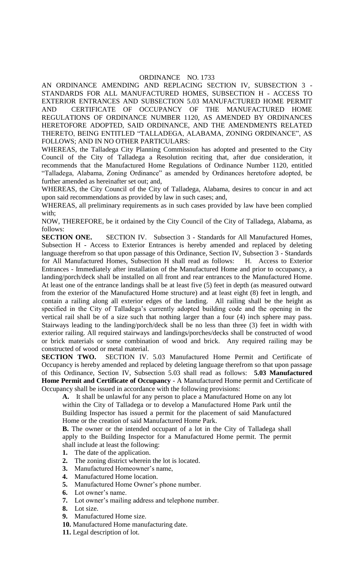## ORDINANCE NO. 1733

AN ORDINANCE AMENDING AND REPLACING SECTION IV, SUBSECTION 3 - STANDARDS FOR ALL MANUFACTURED HOMES, SUBSECTION H - ACCESS TO EXTERIOR ENTRANCES AND SUBSECTION 5.03 MANUFACTURED HOME PERMIT AND CERTIFICATE OF OCCUPANCY OF THE MANUFACTURED HOME REGULATIONS OF ORDINANCE NUMBER 1120, AS AMENDED BY ORDINANCES HERETOFORE ADOPTED, SAID ORDINANCE, AND THE AMENDMENTS RELATED THERETO, BEING ENTITLED "TALLADEGA, ALABAMA, ZONING ORDINANCE", AS FOLLOWS; AND IN NO OTHER PARTICULARS:

WHEREAS, the Talladega City Planning Commission has adopted and presented to the City Council of the City of Talladega a Resolution reciting that, after due consideration, it recommends that the Manufactured Home Regulations of Ordinance Number 1120, entitled "Talladega, Alabama, Zoning Ordinance" as amended by Ordinances heretofore adopted, be further amended as hereinafter set out; and,

WHEREAS, the City Council of the City of Talladega, Alabama, desires to concur in and act upon said recommendations as provided by law in such cases; and,

WHEREAS, all preliminary requirements as in such cases provided by law have been complied with;

NOW, THEREFORE, be it ordained by the City Council of the City of Talladega, Alabama, as follows:

**SECTION ONE.** SECTION IV. Subsection 3 - Standards for All Manufactured Homes, Subsection H - Access to Exterior Entrances is hereby amended and replaced by deleting language therefrom so that upon passage of this Ordinance, Section IV, Subsection 3 - Standards for All Manufactured Homes, Subsection H shall read as follows: H. Access to Exterior Entrances - Immediately after installation of the Manufactured Home and prior to occupancy, a landing/porch/deck shall be installed on all front and rear entrances to the Manufactured Home. At least one of the entrance landings shall be at least five (5) feet in depth (as measured outward from the exterior of the Manufactured Home structure) and at least eight (8) feet in length, and contain a railing along all exterior edges of the landing. All railing shall be the height as specified in the City of Talladega's currently adopted building code and the opening in the vertical rail shall be of a size such that nothing larger than a four (4) inch sphere may pass. Stairways leading to the landing/porch/deck shall be no less than three (3) feet in width with exterior railing. All required stairways and landings/porches/decks shall be constructed of wood or brick materials or some combination of wood and brick. Any required railing may be constructed of wood or metal material.

**SECTION TWO.** SECTION IV. 5.03 Manufactured Home Permit and Certificate of Occupancy is hereby amended and replaced by deleting language therefrom so that upon passage of this Ordinance, Section IV, Subsection 5.03 shall read as follows: **5.03 Manufactured Home Permit and Certificate of Occupancy** - A Manufactured Home permit and Certificate of Occupancy shall be issued in accordance with the following provisions:

**A.** It shall be unlawful for any person to place a Manufactured Home on any lot within the City of Talladega or to develop a Manufactured Home Park until the Building Inspector has issued a permit for the placement of said Manufactured Home or the creation of said Manufactured Home Park.

**B.** The owner or the intended occupant of a lot in the City of Talladega shall apply to the Building Inspector for a Manufactured Home permit. The permit shall include at least the following:

- **1.** The date of the application.
- **2.** The zoning district wherein the lot is located.
- **3.** Manufactured Homeowner's name,
- **4.** Manufactured Home location.
- **5.** Manufactured Home Owner's phone number.
- **6.** Lot owner's name.
- **7.** Lot owner's mailing address and telephone number.
- **8.** Lot size.
- **9.** Manufactured Home size.
- **10.** Manufactured Home manufacturing date.
- **11.** Legal description of lot.